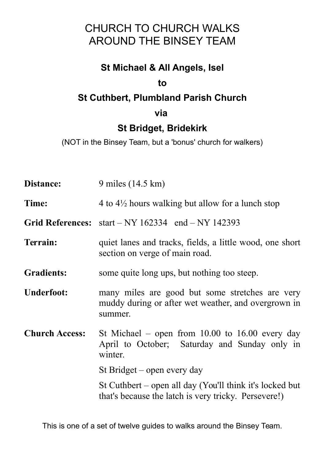# CHURCH TO CHURCH WALKS AROUND THE BINSEY TEAM

## **St Michael & All Angels, Isel**

### **to**

### **St Cuthbert, Plumbland Parish Church**

### **via**

# **St Bridget, Bridekirk**

(NOT in the Binsey Team, but a 'bonus' church for walkers)

| Distance:             | 9 miles (14.5 km)                                                                                                 |
|-----------------------|-------------------------------------------------------------------------------------------------------------------|
| Time:                 | 4 to $4\frac{1}{2}$ hours walking but allow for a lunch stop                                                      |
|                       | Grid References: $start - NY$ 162334 end $- NY$ 142393                                                            |
| Terrain:              | quiet lanes and tracks, fields, a little wood, one short<br>section on verge of main road.                        |
| <b>Gradients:</b>     | some quite long ups, but nothing too steep.                                                                       |
| <b>Underfoot:</b>     | many miles are good but some stretches are very<br>muddy during or after wet weather, and overgrown in<br>summer. |
| <b>Church Access:</b> | St Michael – open from $10.00$ to $16.00$ every day<br>April to October; Saturday and Sunday only in<br>winter.   |
|                       | St Bridget – open every day                                                                                       |
|                       | St Cuthbert – open all day (You'll think it's locked but<br>that's because the latch is very tricky. Persevere!)  |

This is one of a set of twelve guides to walks around the Binsey Team.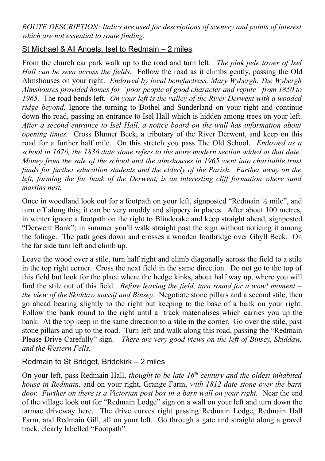*ROUTE DESCRIPTION: Italics are used for descriptions of scenery and points of interest which are not essential to route finding.*

#### St Michael & All Angels, Isel to Redmain – 2 miles

From the church car park walk up to the road and turn left. *The pink pele tower of Isel Hall can be seen across the fields.* Follow the road as it climbs gently, passing the Old Almshouses on your right. *Endowed by local benefactress, Mary Wybergh, The Wybergh Almshouses provided homes for "poor people of good character and repute" from 1850 to 1965.* The road bends left. *On your left is the valley of the River Derwent with a wooded ridge beyond.* Ignore the turning to Bothel and Sunderland on your right and continue down the road, passing an entrance to Isel Hall which is hidden among trees on your left. *After a second entrance to Isel Hall, a notice board on the wall has information about opening times.* Cross Blumer Beck, a tributary of the River Derwent, and keep on this road for a further half mile. On this stretch you pass The Old School. *Endowed as a school in 1676, the 1836 date stone refers to the more modern section added at that date. Money from the sale of the school and the almshouses in 1965 went into charitable trust funds for further education students and the elderly of the Parish. Further away on the left, forming the far bank of the Derwent, is an interesting cliff formation where sand martins nest.*

Once in woodland look out for a footpath on your left, signposted "Redmain ½ mile", and turn off along this; it can be very muddy and slippery in places. After about 100 metres, in winter ignore a footpath on the right to Blindcrake and keep straight ahead, signposted "Derwent Bank"; in summer you'll walk straight past the sign without noticing it among the foliage. The path goes down and crosses a wooden footbridge over Ghyll Beck. On the far side turn left and climb up.

Leave the wood over a stile, turn half right and climb diagonally across the field to a stile in the top right corner. Cross the next field in the same direction. Do not go to the top of this field but look for the place where the hedge kinks, about half way up, where you will find the stile out of this field. *Before leaving the field, turn round for a wow! moment – the view of the Skiddaw massif and Binsey.* Negotiate stone pillars and a second stile, then go ahead bearing slightly to the right but keeping to the base of a bank on your right. Follow the bank round to the right until a track materialises which carries you up the bank. At the top keep in the same direction to a stile in the corner. Go over the stile, past stone pillars and up to the road. Turn left and walk along this road, passing the "Redmain Please Drive Carefully" sign. *There are very good views on the left of Binsey, Skiddaw, and the Western Fells.* 

#### Redmain to St Bridget, Bridekirk – 2 miles

On your left, pass Redmain Hall, *thought to be late 16th century and the oldest inhabited house in Redmain,* and on your right, Grange Farm, *with 1812 date stone over the barn door. Further on there is a Victorian post box in a barn wall on your right.* Near the end of the village look out for "Redmain Lodge" sign on a wall on your left and turn down the tarmac driveway here. The drive curves right passing Redmain Lodge, Redmain Hall Farm, and Redmain Gill, all on your left. Go through a gate and straight along a gravel track, clearly labelled "Footpath".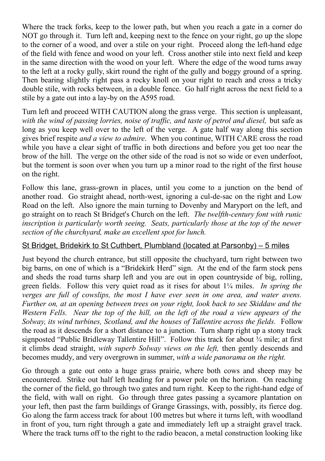Where the track forks, keep to the lower path, but when you reach a gate in a corner do NOT go through it. Turn left and, keeping next to the fence on your right, go up the slope to the corner of a wood, and over a stile on your right. Proceed along the left-hand edge of the field with fence and wood on your left. Cross another stile into next field and keep in the same direction with the wood on your left. Where the edge of the wood turns away to the left at a rocky gully, skirt round the right of the gully and boggy ground of a spring. Then bearing slightly right pass a rocky knoll on your right to reach and cross a tricky double stile, with rocks between, in a double fence. Go half right across the next field to a stile by a gate out into a lay-by on the A595 road.

Turn left and proceed WITH CAUTION along the grass verge. This section is unpleasant, *with the wind of passing lorries, noise of traffic, and taste of petrol and diesel,* but safe as long as you keep well over to the left of the verge. A gate half way along this section gives brief respite *and a view to admire*. When you continue, WITH CARE cross the road while you have a clear sight of traffic in both directions and before you get too near the brow of the hill. The verge on the other side of the road is not so wide or even underfoot, but the torment is soon over when you turn up a minor road to the right of the first house on the right.

Follow this lane, grass-grown in places, until you come to a junction on the bend of another road. Go straight ahead, north-west, ignoring a cul-de-sac on the right and Low Road on the left. Also ignore the main turning to Dovenby and Maryport on the left, and go straight on to reach St Bridget's Church on the left. *The twelfth-century font with runic inscription is particularly worth seeing. Seats, particularly those at the top of the newer section of the churchyard, make an excellent spot for lunch.*

#### St Bridget, Bridekirk to St Cuthbert, Plumbland (located at Parsonby) – 5 miles

Just beyond the church entrance, but still opposite the chuchyard, turn right between two big barns, on one of which is a "Bridekirk Herd" sign. At the end of the farm stock pens and sheds the road turns sharp left and you are out in open countryside of big, rolling, green fields. Follow this very quiet road as it rises for about 1¼ miles. *In spring the verges are full of cowslips, the most I have ever seen in one area, and water avens. Further on, at an opening between trees on your right, look back to see Skiddaw and the Western Fells. Near the top of the hill, on the left of the road a view appears of the Solway, its wind turbines, Scotland, and the houses of Tallentire across the fields.* Follow the road as it descends for a short distance to a junction. Turn sharp right up a stony track signposted "Public Bridleway Tallentire Hill". Follow this track for about  $\frac{3}{4}$  mile; at first it climbs dead straight, *with superb Solway views on the left,* then gently descends and becomes muddy, and very overgrown in summer, *with a wide panorama on the right.*

Go through a gate out onto a huge grass prairie, where both cows and sheep may be encountered. Strike out half left heading for a power pole on the horizon. On reaching the corner of the field, go through two gates and turn right. Keep to the right-hand edge of the field, with wall on right. Go through three gates passing a sycamore plantation on your left, then past the farm buildings of Grange Grassings, with, possibly, its fierce dog. Go along the farm access track for about 100 metres but where it turns left, with woodland in front of you, turn right through a gate and immediately left up a straight gravel track. Where the track turns off to the right to the radio beacon, a metal construction looking like